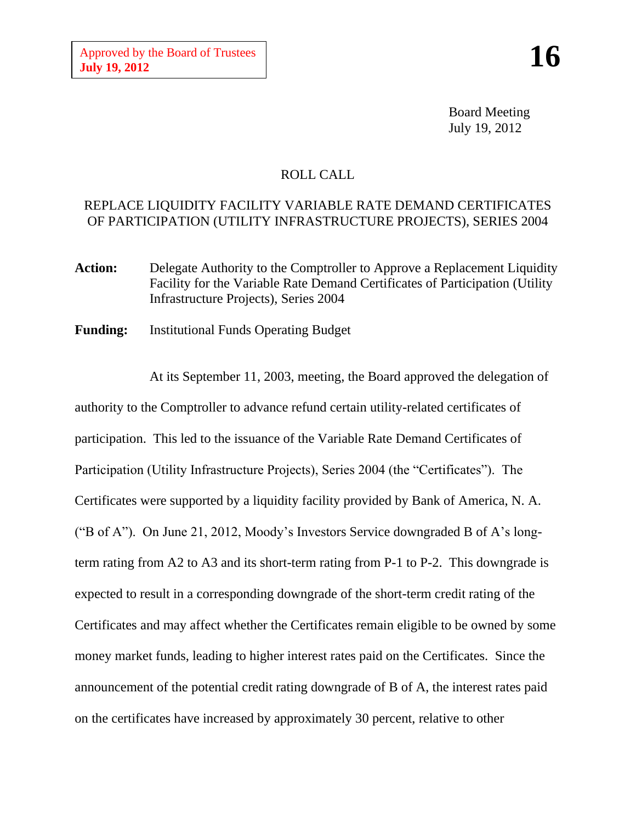Board Meeting July 19, 2012

## ROLL CALL

## REPLACE LIQUIDITY FACILITY VARIABLE RATE DEMAND CERTIFICATES OF PARTICIPATION (UTILITY INFRASTRUCTURE PROJECTS), SERIES 2004

- Action: Delegate Authority to the Comptroller to Approve a Replacement Liquidity Facility for the Variable Rate Demand Certificates of Participation (Utility Infrastructure Projects), Series 2004
- **Funding:** Institutional Funds Operating Budget

At its September 11, 2003, meeting, the Board approved the delegation of authority to the Comptroller to advance refund certain utility-related certificates of participation. This led to the issuance of the Variable Rate Demand Certificates of Participation (Utility Infrastructure Projects), Series 2004 (the "Certificates"). The Certificates were supported by a liquidity facility provided by Bank of America, N. A. ("B of A"). On June 21, 2012, Moody's Investors Service downgraded B of A's longterm rating from A2 to A3 and its short-term rating from P-1 to P-2. This downgrade is expected to result in a corresponding downgrade of the short-term credit rating of the Certificates and may affect whether the Certificates remain eligible to be owned by some money market funds, leading to higher interest rates paid on the Certificates. Since the announcement of the potential credit rating downgrade of B of A, the interest rates paid on the certificates have increased by approximately 30 percent, relative to other